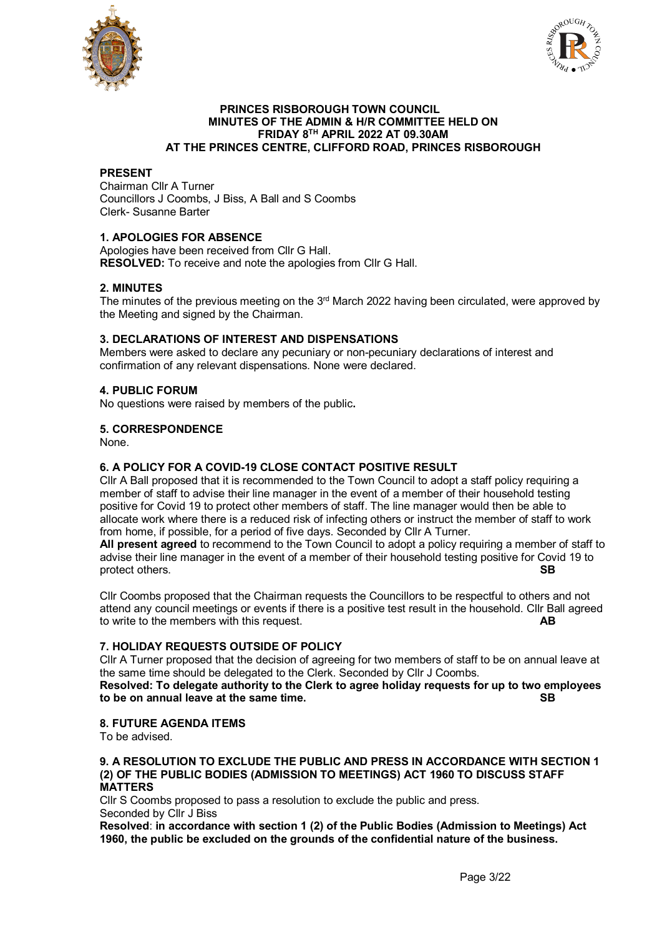



#### **PRINCES RISBOROUGH TOWN COUNCIL MINUTES OF THE ADMIN & H/R COMMITTEE HELD ON FRIDAY 8TH APRIL 2022 AT 09.30AM AT THE PRINCES CENTRE, CLIFFORD ROAD, PRINCES RISBOROUGH**

## **PRESENT**

Chairman Cllr A Turner Councillors J Coombs, J Biss, A Ball and S Coombs Clerk- Susanne Barter

# **1. APOLOGIES FOR ABSENCE**

Apologies have been received from Cllr G Hall. **RESOLVED:** To receive and note the apologies from Cllr G Hall.

## **2. MINUTES**

The minutes of the previous meeting on the  $3<sup>rd</sup>$  March 2022 having been circulated, were approved by the Meeting and signed by the Chairman.

## **3. DECLARATIONS OF INTEREST AND DISPENSATIONS**

Members were asked to declare any pecuniary or non-pecuniary declarations of interest and confirmation of any relevant dispensations. None were declared.

## **4. PUBLIC FORUM**

No questions were raised by members of the public**.**

#### **5. CORRESPONDENCE**

None.

## **6. A POLICY FOR A COVID-19 CLOSE CONTACT POSITIVE RESULT**

Cllr A Ball proposed that it is recommended to the Town Council to adopt a staff policy requiring a member of staff to advise their line manager in the event of a member of their household testing positive for Covid 19 to protect other members of staff. The line manager would then be able to allocate work where there is a reduced risk of infecting others or instruct the member of staff to work from home, if possible, for a period of five days. Seconded by Cllr A Turner.

**All present agreed** to recommend to the Town Council to adopt a policy requiring a member of staff to advise their line manager in the event of a member of their household testing positive for Covid 19 to<br>R protect others.

Cllr Coombs proposed that the Chairman requests the Councillors to be respectful to others and not attend any council meetings or events if there is a positive test result in the household. Cllr Ball agreed to write to the members with this request. **AB**

## **7. HOLIDAY REQUESTS OUTSIDE OF POLICY**

Cllr A Turner proposed that the decision of agreeing for two members of staff to be on annual leave at the same time should be delegated to the Clerk. Seconded by Cllr J Coombs. **Resolved: To delegate authority to the Clerk to agree holiday requests for up to two employees to be on annual leave at the same time. SB**

#### **8. FUTURE AGENDA ITEMS**

To be advised.

#### **9. A RESOLUTION TO EXCLUDE THE PUBLIC AND PRESS IN ACCORDANCE WITH SECTION 1 (2) OF THE PUBLIC BODIES (ADMISSION TO MEETINGS) ACT 1960 TO DISCUSS STAFF MATTERS**

Cllr S Coombs proposed to pass a resolution to exclude the public and press. Seconded by Cllr J Biss

**Resolved**: **in accordance with section 1 (2) of the Public Bodies (Admission to Meetings) Act 1960, the public be excluded on the grounds of the confidential nature of the business.**